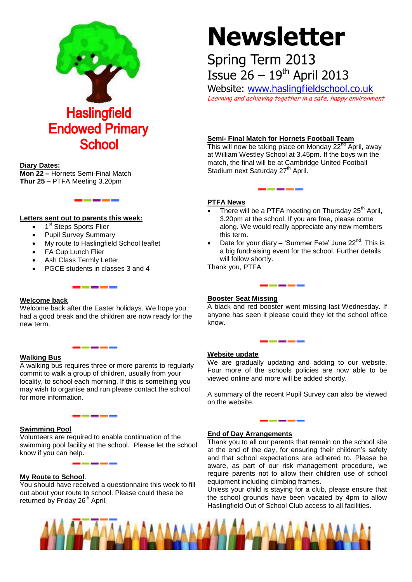

#### **Diary Dates:**

**Mon 22 –** Hornets Semi-Final Match **Thur 25 –** PTFA Meeting 3.20pm

### **Letters sent out to parents this week:**

- 1<sup>st</sup> Steps Sports Flier
- Pupil Survey Summary
- My route to Haslingfield School leaflet
- FA Cup Lunch Flier
- Ash Class Termly Letter
- PGCE students in classes 3 and 4

#### **Welcome back**

Welcome back after the Easter holidays. We hope you had a good break and the children are now ready for the new term.

#### **Walking Bus**

A walking bus requires three or more parents to regularly commit to walk a group of children, usually from your locality, to school each morning. If this is something you may wish to organise and run please contact the school for more information.

# **Swimming Pool**

Volunteers are required to enable continuation of the swimming pool facility at the school. Please let the school know if you can help.

#### **My Route to School**.

You should have received a questionnaire this week to fill out about your route to school. Please could these be returned by Friday 26<sup>th</sup> April.

# **Newsletter**

# Spring Term 2013 Issue  $26 - 19$ <sup>th</sup> April 2013

Website: [www.haslingfieldschool.co.uk](http://www.haslingfieldschool.co.uk/) Learning and achieving together in a safe, happy environment

## **Semi- Final Match for Hornets Football Team**

This will now be taking place on Monday  $22<sup>nd</sup>$  April, away at William Westley School at 3.45pm. If the boys win the match, the final will be at Cambridge United Football Stadium next Saturday 27<sup>th</sup> April.

#### **PTFA News**

- There will be a PTFA meeting on Thursday 25<sup>th</sup> April, 3.20pm at the school. If you are free, please come along. We would really appreciate any new members this term.
- Date for your diary 'Summer Fete' June  $22<sup>nd</sup>$ . This is a big fundraising event for the school. Further details will follow shortly.

Thank you, PTFA

#### **Booster Seat Missing**

A black and red booster went missing last Wednesday. If anyone has seen it please could they let the school office know.

#### **Website update**

We are gradually updating and adding to our website. Four more of the schools policies are now able to be viewed online and more will be added shortly.

A summary of the recent Pupil Survey can also be viewed on the website.

#### **End of Day Arrangements**

Thank you to all our parents that remain on the school site at the end of the day, for ensuring their children's safety and that school expectations are adhered to. Please be aware, as part of our risk management procedure, we require parents not to allow their children use of school equipment including climbing frames.

Unless your child is staying for a club, please ensure that the school grounds have been vacated by 4pm to allow Haslingfield Out of School Club access to all facilities.